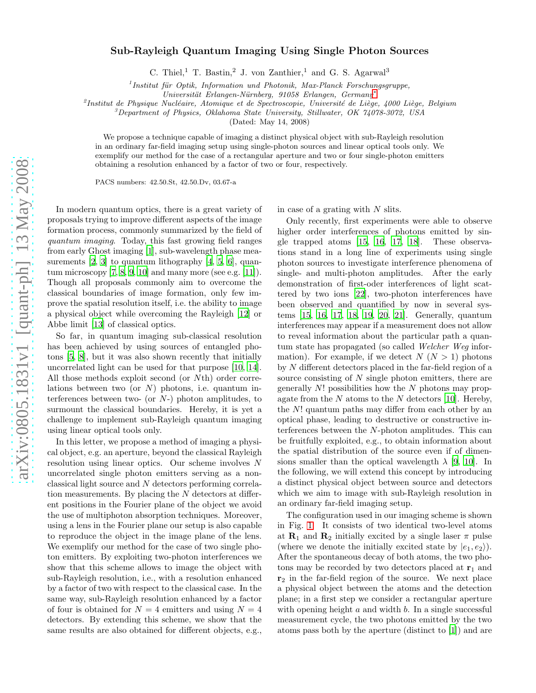## Sub-Rayleigh Quantum Imaging Using Single Photon Sources

C. Thiel,<sup>1</sup> T. Bastin,<sup>2</sup> J. von Zanthier,<sup>1</sup> and G. S. Agarwal<sup>3</sup>

 $1$ Institut für Optik, Information und Photonik, Max-Planck Forschungsgruppe,

√Universität Erlangen-Nürnberg, 91058 Erlangen, Germany\*

<sup>2</sup>Institut de Physique Nucléaire, Atomique et de Spectroscopie, Université de Liège, 4000 Liège, Belgium

<sup>3</sup>Department of Physics, Oklahoma State University, Stillwater, OK 74078-3072, USA

(Dated: May 14, 2008)

We propose a technique capable of imaging a distinct physical object with sub-Rayleigh resolution in an ordinary far-field imaging setup using single-photon sources and linear optical tools only. We exemplify our method for the case of a rectangular aperture and two or four single-photon emitters obtaining a resolution enhanced by a factor of two or four, respectively.

PACS numbers: 42.50.St, 42.50.Dv, 03.67-a

In modern quantum optics, there is a great variety of proposals trying to improve different aspects of the image formation process, commonly summarized by the field of quantum imaging. Today, this fast growing field ranges from early Ghost imaging [\[1\]](#page-3-1), sub-wavelength phase measurements  $[2, 3]$  $[2, 3]$  $[2, 3]$  to quantum lithography  $[4, 5, 6]$  $[4, 5, 6]$  $[4, 5, 6]$  $[4, 5, 6]$ , quantum microscopy  $[7, 8, 9, 10]$  $[7, 8, 9, 10]$  $[7, 8, 9, 10]$  $[7, 8, 9, 10]$  $[7, 8, 9, 10]$  and many more (see e.g.  $[11]$ ). Though all proposals commonly aim to overcome the classical boundaries of image formation, only few improve the spatial resolution itself, i.e. the ability to image a physical object while overcoming the Rayleigh [\[12\]](#page-3-12) or Abbe limit [\[13](#page-3-13)] of classical optics.

So far, in quantum imaging sub-classical resolution has been achieved by using sources of entangled photons [\[5,](#page-3-5) [8\]](#page-3-8), but it was also shown recently that initially uncorrelated light can be used for that purpose [\[10](#page-3-10), [14\]](#page-3-14). All those methods exploit second (or Nth) order correlations between two (or  $N$ ) photons, i.e. quantum interferences between two- (or  $N$ -) photon amplitudes, to surmount the classical boundaries. Hereby, it is yet a challenge to implement sub-Rayleigh quantum imaging using linear optical tools only.

In this letter, we propose a method of imaging a physical object, e.g. an aperture, beyond the classical Rayleigh resolution using linear optics. Our scheme involves N uncorrelated single photon emitters serving as a nonclassical light source and N detectors performing correlation measurements. By placing the N detectors at different positions in the Fourier plane of the object we avoid the use of multiphoton absorption techniques. Moreover, using a lens in the Fourier plane our setup is also capable to reproduce the object in the image plane of the lens. We exemplify our method for the case of two single photon emitters. By exploiting two-photon interferences we show that this scheme allows to image the object with sub-Rayleigh resolution, i.e., with a resolution enhanced by a factor of two with respect to the classical case. In the same way, sub-Rayleigh resolution enhanced by a factor of four is obtained for  $N = 4$  emitters and using  $N = 4$ detectors. By extending this scheme, we show that the same results are also obtained for different objects, e.g.,

in case of a grating with  $N$  slits.

Only recently, first experiments were able to observe higher order interferences of photons emitted by single trapped atoms [\[15,](#page-3-15) [16,](#page-3-16) [17](#page-3-17), [18](#page-3-18)]. These observations stand in a long line of experiments using single photon sources to investigate interference phenomena of single- and multi-photon amplitudes. After the early demonstration of first-oder interferences of light scattered by two ions [\[22\]](#page-3-19), two-photon interferences have been observed and quantified by now in several systems [\[15,](#page-3-15) [16,](#page-3-16) [17](#page-3-17), [18,](#page-3-18) [19,](#page-3-20) [20](#page-3-21), [21\]](#page-3-22). Generally, quantum interferences may appear if a measurement does not allow to reveal information about the particular path a quantum state has propagated (so called Welcher Weg information). For example, if we detect  $N (N > 1)$  photons by N different detectors placed in the far-field region of a source consisting of N single photon emitters, there are generally  $N!$  possibilities how the  $N$  photons may propagate from the  $N$  atoms to the  $N$  detectors [\[10\]](#page-3-10). Hereby, the N! quantum paths may differ from each other by an optical phase, leading to destructive or constructive interferences between the N-photon amplitudes. This can be fruitfully exploited, e.g., to obtain information about the spatial distribution of the source even if of dimensions smaller than the optical wavelength  $\lambda$  [\[9](#page-3-9), [10\]](#page-3-10). In the following, we will extend this concept by introducing a distinct physical object between source and detectors which we aim to image with sub-Rayleigh resolution in an ordinary far-field imaging setup.

The configuration used in our imaging scheme is shown in Fig. [1.](#page-1-0) It consists of two identical two-level atoms at  $\mathbf{R}_1$  and  $\mathbf{R}_2$  initially excited by a single laser  $\pi$  pulse (where we denote the initially excited state by  $|e_1, e_2\rangle$ ). After the spontaneous decay of both atoms, the two photons may be recorded by two detectors placed at  $r_1$  and  $r<sub>2</sub>$  in the far-field region of the source. We next place a physical object between the atoms and the detection plane; in a first step we consider a rectangular aperture with opening height  $a$  and width  $b$ . In a single successful measurement cycle, the two photons emitted by the two atoms pass both by the aperture (distinct to [\[1](#page-3-1)]) and are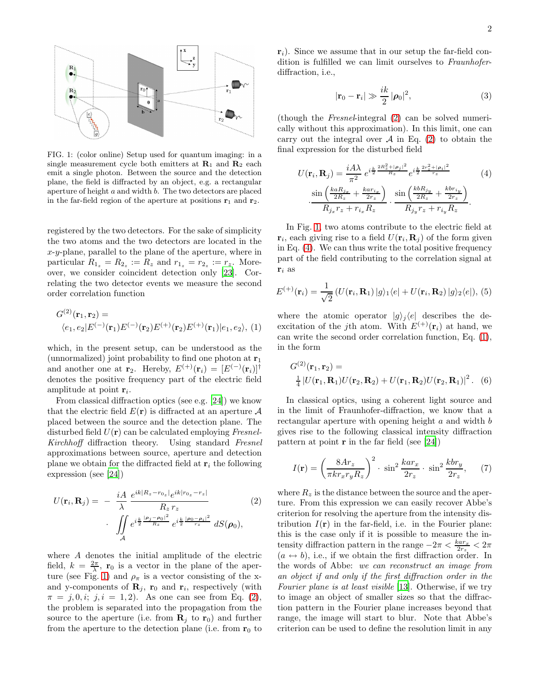

<span id="page-1-0"></span>FIG. 1: (color online) Setup used for quantum imaging: in a single measurement cycle both emitters at  $\mathbf{R}_1$  and  $\mathbf{R}_2$  each emit a single photon. Between the source and the detection plane, the field is diffracted by an object, e.g. a rectangular aperture of height a and width b. The two detectors are placed in the far-field region of the aperture at positions  $r_1$  and  $r_2$ .

registered by the two detectors. For the sake of simplicity the two atoms and the two detectors are located in the  $x-y$ -plane, parallel to the plane of the aperture, where in particular  $R_{1_z} = R_{2_z} := R_z$  and  $r_{1_z} = r_{2_z} := r_z$ . Moreover, we consider coincident detection only [\[23\]](#page-3-23). Correlating the two detector events we measure the second order correlation function

<span id="page-1-3"></span>
$$
G^{(2)}(\mathbf{r}_1, \mathbf{r}_2) =
$$
  
\n
$$
\langle e_1, e_2 | E^{(-)}(\mathbf{r}_1) E^{(-)}(\mathbf{r}_2) E^{(+)}(\mathbf{r}_2) E^{(+)}(\mathbf{r}_1) | e_1, e_2 \rangle, (1)
$$

which, in the present setup, can be understood as the (unnormalized) joint probability to find one photon at  $r_1$ and another one at  $\mathbf{r}_2$ . Hereby,  $E^{(+)}(\mathbf{r}_i) = [E^{(-)}(\mathbf{r}_i)]^{\dagger}$ denotes the positive frequency part of the electric field amplitude at point  $r_i$ .

From classical diffraction optics (see e.g. [\[24\]](#page-3-24)) we know that the electric field  $E(\mathbf{r})$  is diffracted at an aperture  $\mathcal A$ placed between the source and the detection plane. The disturbed field  $U(\mathbf{r})$  can be calculated employing Fresnel-Kirchhoff diffraction theory. Using standard Fresnel approximations between source, aperture and detection plane we obtain for the diffracted field at  $r_i$  the following expression (see [\[24\]](#page-3-24))

<span id="page-1-1"></span>
$$
U(\mathbf{r}_{i}, \mathbf{R}_{j}) = -\frac{iA}{\lambda} \frac{e^{ik|R_{z} - r_{0_{z}}|} e^{ik|r_{0_{z}} - r_{z}|}}{R_{z} r_{z}} \cdot \int_{A} e^{i\frac{k}{2} \frac{|\rho_{j} - \rho_{0}|^{2}}{R_{z}} e^{i\frac{k}{2} \frac{|\rho_{0} - \rho_{i}|^{2}}{r_{z}}} dS(\rho_{0}),
$$
\n(2)

where A denotes the initial amplitude of the electric field,  $k = \frac{2\pi}{\lambda}$ , **r**<sub>0</sub> is a vector in the plane of the aper-ture (see Fig. [1\)](#page-1-0) and  $\rho_{\pi}$  is a vector consisting of the xand y-components of  $\mathbf{R}_j$ ,  $\mathbf{r}_0$  and  $\mathbf{r}_i$ , respectively (with  $\pi = j, 0, i; j, i = 1, 2$ . As one can see from Eq. [\(2\)](#page-1-1), the problem is separated into the propagation from the source to the aperture (i.e. from  $\mathbf{R}_i$  to  $\mathbf{r}_0$ ) and further from the aperture to the detection plane (i.e. from  $r_0$  to

 $r_i$ ). Since we assume that in our setup the far-field condition is fulfilled we can limit ourselves to Fraunhoferdiffraction, i.e.,

$$
|\mathbf{r}_0 - \mathbf{r}_i| \gg \frac{ik}{2} |\boldsymbol{\rho}_0|^2, \tag{3}
$$

(though the Fresnel-integral [\(2\)](#page-1-1) can be solved numerically without this approximation). In this limit, one can carry out the integral over  $A$  in Eq. [\(2\)](#page-1-1) to obtain the final expression for the disturbed field

<span id="page-1-2"></span>
$$
U(\mathbf{r}_{i}, \mathbf{R}_{j}) = \frac{iA\lambda}{\pi^{2}} e^{i\frac{k}{2}\frac{2R_{z}^{2} + |\rho_{j}|^{2}}{R_{z}}} e^{i\frac{k}{2}\frac{2r_{z}^{2} + |\rho_{i}|^{2}}{r_{z}}}
$$
(4)  

$$
\cdot \frac{\sin\left(\frac{k a R_{jx}}{2R_{z}} + \frac{k a r_{ix}}{2r_{z}}\right)}{R_{jx} r_{z} + r_{ix} R_{z}} \cdot \frac{\sin\left(\frac{k b R_{jy}}{2R_{z}} + \frac{k b r_{iy}}{2r_{z}}\right)}{R_{jy} r_{z} + r_{iy} R_{z}}.
$$

In Fig. [1,](#page-1-0) two atoms contribute to the electric field at  $\mathbf{r}_i$ , each giving rise to a field  $U(\mathbf{r}_i, \mathbf{R}_j)$  of the form given in Eq. [\(4\)](#page-1-2). We can thus write the total positive frequency part of the field contributing to the correlation signal at  $\mathbf{r}_i$  as

$$
E^{(+)}(\mathbf{r}_i) = \frac{1}{\sqrt{2}} \left( U(\mathbf{r}_i, \mathbf{R}_1) \, |g\rangle_1 \langle e| + U(\mathbf{r}_i, \mathbf{R}_2) \, |g\rangle_2 \langle e| \right), \, (5)
$$

where the atomic operator  $|g\rangle_j\langle e|$  describes the deexcitation of the j<sup>th</sup> atom. With  $E^{(+)}(\mathbf{r}_i)$  at hand, we can write the second order correlation function, Eq. [\(1\)](#page-1-3), in the form

<span id="page-1-4"></span>
$$
G^{(2)}(\mathbf{r}_1, \mathbf{r}_2) =
$$
  
\n
$$
\frac{1}{4} |U(\mathbf{r}_1, \mathbf{R}_1)U(\mathbf{r}_2, \mathbf{R}_2) + U(\mathbf{r}_1, \mathbf{R}_2)U(\mathbf{r}_2, \mathbf{R}_1)|^2.
$$
 (6)

In classical optics, using a coherent light source and in the limit of Fraunhofer-diffraction, we know that a rectangular aperture with opening height a and width b gives rise to the following classical intensity diffraction pattern at point  $\bf{r}$  in the far field (see [\[24](#page-3-24)])

<span id="page-1-5"></span>
$$
I(\mathbf{r}) = \left(\frac{8Ar_z}{\pi kr_x r_y R_z}\right)^2 \cdot \sin^2 \frac{kar_x}{2r_z} \cdot \sin^2 \frac{kbr_y}{2r_z},\qquad(7)
$$

where  $R_z$  is the distance between the source and the aperture. From this expression we can easily recover Abbe's criterion for resolving the aperture from the intensity distribution  $I(\mathbf{r})$  in the far-field, i.e. in the Fourier plane: this is the case only if it is possible to measure the intensity diffraction pattern in the range  $-2\pi < \frac{k a r_x}{2r_z} < 2\pi$  $(a \leftrightarrow b)$ , i.e., if we obtain the first diffraction order. In the words of Abbe: we can reconstruct an image from an object if and only if the first diffraction order in the Fourier plane is at least visible [\[13\]](#page-3-13). Otherwise, if we try to image an object of smaller sizes so that the diffraction pattern in the Fourier plane increases beyond that range, the image will start to blur. Note that Abbe's criterion can be used to define the resolution limit in any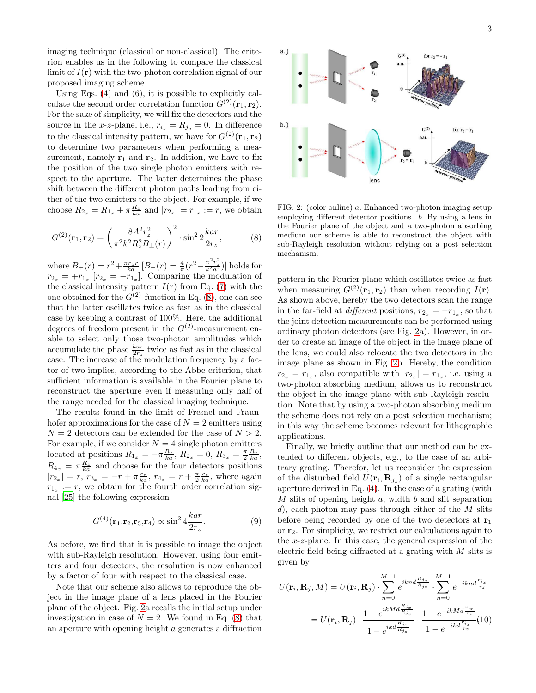$a.$ )

imaging technique (classical or non-classical). The criterion enables us in the following to compare the classical limit of  $I(\mathbf{r})$  with the two-photon correlation signal of our proposed imaging scheme.

Using Eqs. [\(4\)](#page-1-2) and [\(6\)](#page-1-4), it is possible to explicitly calculate the second order correlation function  $G^{(2)}(\mathbf{r}_1, \mathbf{r}_2)$ . For the sake of simplicity, we will fix the detectors and the source in the x-z-plane, i.e.,  $r_{i_y} = R_{j_y} = 0$ . In difference to the classical intensity pattern, we have for  $G^{(2)}(\mathbf{r}_1, \mathbf{r}_2)$ to determine two parameters when performing a measurement, namely  $\mathbf{r}_1$  and  $\mathbf{r}_2$ . In addition, we have to fix the position of the two single photon emitters with respect to the aperture. The latter determines the phase shift between the different photon paths leading from either of the two emitters to the object. For example, if we choose  $R_{2_x} = R_{1_x} + \pi \frac{R_z}{ka}$  and  $|r_{2_x}| = r_{1_x} := r$ , we obtain

<span id="page-2-0"></span>
$$
G^{(2)}(\mathbf{r}_1, \mathbf{r}_2) = \left(\frac{8A^2r_z^2}{\pi^2k^2R_z^2B_{\pm}(r)}\right)^2 \cdot \sin^2 2\frac{kar}{2r_z},\tag{8}
$$

where  $B_+(r) = r^2 + \frac{\pi r_z r}{ka} [B_-(r) = \frac{4}{\pi} (r^2 - \frac{\pi^2 r_z^2}{k^2 a^2})]$  holds for  $r_{2_x} = +r_{1_x} [r_{2_x} = -r_{1_x}]$ . Comparing the modulation of the classical intensity pattern  $I(\mathbf{r})$  from Eq. [\(7\)](#page-1-5) with the one obtained for the  $G^{(2)}$ -function in Eq. [\(8\)](#page-2-0), one can see that the latter oscillates twice as fast as in the classical case by keeping a contrast of 100%. Here, the additional degrees of freedom present in the  $G^{(2)}$ -measurement enable to select only those two-photon amplitudes which accumulate the phase  $\frac{kar}{2r_z}$  twice as fast as in the classical case. The increase of the modulation frequency by a factor of two implies, according to the Abbe criterion, that sufficient information is available in the Fourier plane to reconstruct the aperture even if measuring only half of the range needed for the classical imaging technique.

The results found in the limit of Fresnel and Fraunhofer approximations for the case of  $N = 2$  emitters using  $N = 2$  detectors can be extended for the case of  $N > 2$ . For example, if we consider  $N = 4$  single photon emitters located at positions  $R_{1_x} = -\pi \frac{R_z}{ka}$ ,  $R_{2_x} = 0$ ,  $R_{3_x} = \frac{\pi}{2} \frac{R_z}{ka}$ ,  $R_{4_x} = \pi \frac{R_z}{ka}$  and choose for the four detectors positions  $|r_{2_x}| = r, r_{3_x} = -r + \pi \frac{r_z}{ka}, r_{4_x} = r + \frac{\pi}{2} \frac{r_z}{ka},$  where again  $r_{1_x} := r$ , we obtain for the fourth order correlation signal [\[25](#page-3-25)] the following expression

$$
G^{(4)}(\mathbf{r}_1, \mathbf{r}_2, \mathbf{r}_3, \mathbf{r}_4) \propto \sin^2 4 \frac{k a r}{2r_z}.
$$
 (9)

As before, we find that it is possible to image the object with sub-Rayleigh resolution. However, using four emitters and four detectors, the resolution is now enhanced by a factor of four with respect to the classical case.

Note that our scheme also allows to reproduce the object in the image plane of a lens placed in the Fourier plane of the object. Fig. [2a](#page-2-1) recalls the initial setup under investigation in case of  $N = 2$ . We found in Eq. [\(8\)](#page-2-0) that an aperture with opening height a generates a diffraction

<span id="page-2-1"></span>

pattern in the Fourier plane which oscillates twice as fast when measuring  $G^{(2)}(\mathbf{r}_1, \mathbf{r}_2)$  than when recording  $I(\mathbf{r})$ . As shown above, hereby the two detectors scan the range in the far-field at *different* positions,  $r_{2_x} = -r_{1_x}$ , so that the joint detection measurements can be performed using ordinary photon detectors (see Fig. [2a](#page-2-1)). However, in order to create an image of the object in the image plane of the lens, we could also relocate the two detectors in the image plane as shown in Fig. [2b](#page-2-1). Hereby, the condition  $r_{2_x} = r_{1_x}$ , also compatible with  $|r_{2_x}| = r_{1_x}$ , i.e. using a two-photon absorbing medium, allows us to reconstruct the object in the image plane with sub-Rayleigh resolution. Note that by using a two-photon absorbing medium the scheme does not rely on a post selection mechanism; in this way the scheme becomes relevant for lithographic applications.

Finally, we briefly outline that our method can be extended to different objects, e.g., to the case of an arbitrary grating. Therefor, let us reconsider the expression of the disturbed field  $U(\mathbf{r}_i, \mathbf{R}_{j_z})$  of a single rectangular aperture derived in Eq. [\(4\)](#page-1-2). In the case of a grating (with  $M$  slits of opening height  $a$ , width  $b$  and slit separation d), each photon may pass through either of the  $M$  slits before being recorded by one of the two detectors at  $r_1$ or  $r_2$ . For simplicity, we restrict our calculations again to the x-z-plane. In this case, the general expression of the electric field being diffracted at a grating with M slits is given by

$$
U(\mathbf{r}_i, \mathbf{R}_j, M) = U(\mathbf{r}_i, \mathbf{R}_j) \cdot \sum_{n=0}^{M-1} e^{iknd \frac{R_{j_x}}{R_{j_z}}} \cdot \sum_{n=0}^{M-1} e^{-iknd \frac{r_{i_x}}{r_z}}
$$
  
=  $U(\mathbf{r}_i, \mathbf{R}_j) \cdot \frac{1 - e^{ikMd \frac{R_{j_x}}{R_{j_z}}}}{1 - e^{ikd \frac{R_{j_x}}{R_{j_z}}}} \cdot \frac{1 - e^{-ikMd \frac{r_{i_x}}{r_z}}}{1 - e^{-ikd \frac{r_{i_x}}{r_z}}} (10)$